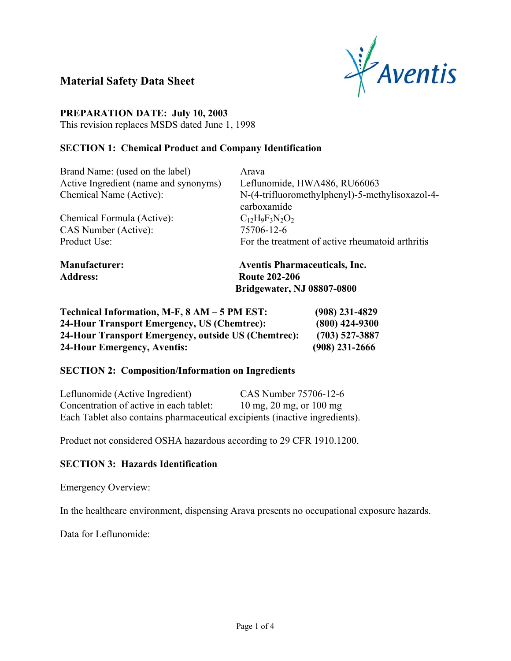

# **Material Safety Data Sheet**

#### **PREPARATION DATE: July 10, 2003**

This revision replaces MSDS dated June 1, 1998

#### **SECTION 1: Chemical Product and Company Identification**

| <b>Manufacturer:</b>                  | <b>Aventis Pharmaceuticals, Inc.</b>             |
|---------------------------------------|--------------------------------------------------|
| Product Use:                          | For the treatment of active rheumatoid arthritis |
| CAS Number (Active):                  | 75706-12-6                                       |
| Chemical Formula (Active):            | $C_{12}H_9F_3N_2O_2$                             |
|                                       | carboxamide                                      |
| Chemical Name (Active):               | N-(4-trifluoromethylphenyl)-5-methylisoxazol-4-  |
| Active Ingredient (name and synonyms) | Leflunomide, HWA486, RU66063                     |
| Brand Name: (used on the label)       | Arava                                            |

**Address: Route 202-206 Bridgewater, NJ 08807-0800** 

| Technical Information, M-F, 8 AM – 5 PM EST:        | $(908)$ 231-4829 |
|-----------------------------------------------------|------------------|
| 24-Hour Transport Emergency, US (Chemtrec):         | $(800)$ 424-9300 |
| 24-Hour Transport Emergency, outside US (Chemtrec): | $(703)$ 527-3887 |
| 24-Hour Emergency, Aventis:                         | $(908)$ 231-2666 |

#### **SECTION 2: Composition/Information on Ingredients**

| Leflunomide (Active Ingredient)                                             | CAS Number 75706-12-6   |
|-----------------------------------------------------------------------------|-------------------------|
| Concentration of active in each tablet:                                     | 10 mg, 20 mg, or 100 mg |
| Each Tablet also contains pharmaceutical excipients (inactive ingredients). |                         |

Product not considered OSHA hazardous according to 29 CFR 1910.1200.

### **SECTION 3: Hazards Identification**

Emergency Overview:

In the healthcare environment, dispensing Arava presents no occupational exposure hazards.

Data for Leflunomide: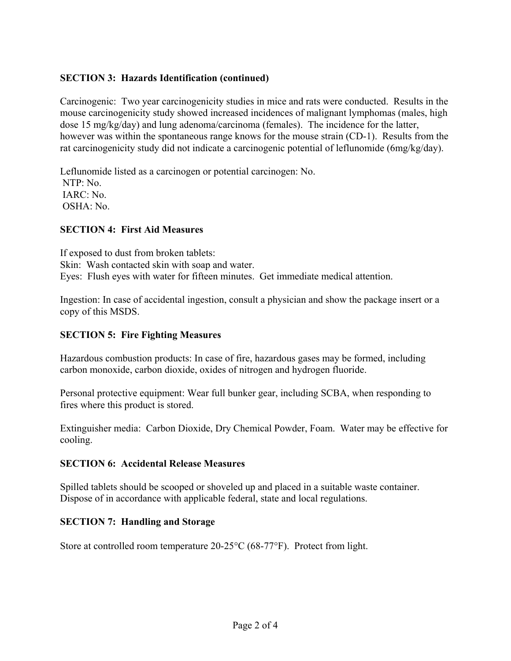### **SECTION 3: Hazards Identification (continued)**

Carcinogenic: Two year carcinogenicity studies in mice and rats were conducted. Results in the mouse carcinogenicity study showed increased incidences of malignant lymphomas (males, high dose 15 mg/kg/day) and lung adenoma/carcinoma (females). The incidence for the latter, however was within the spontaneous range knows for the mouse strain (CD-1). Results from the rat carcinogenicity study did not indicate a carcinogenic potential of leflunomide (6mg/kg/day).

Leflunomide listed as a carcinogen or potential carcinogen: No. NTP: No. IARC: No. OSHA: No.

#### **SECTION 4: First Aid Measures**

If exposed to dust from broken tablets: Skin: Wash contacted skin with soap and water. Eyes: Flush eyes with water for fifteen minutes. Get immediate medical attention.

Ingestion: In case of accidental ingestion, consult a physician and show the package insert or a copy of this MSDS.

#### **SECTION 5: Fire Fighting Measures**

Hazardous combustion products: In case of fire, hazardous gases may be formed, including carbon monoxide, carbon dioxide, oxides of nitrogen and hydrogen fluoride.

Personal protective equipment: Wear full bunker gear, including SCBA, when responding to fires where this product is stored.

Extinguisher media: Carbon Dioxide, Dry Chemical Powder, Foam. Water may be effective for cooling.

#### **SECTION 6: Accidental Release Measures**

Spilled tablets should be scooped or shoveled up and placed in a suitable waste container. Dispose of in accordance with applicable federal, state and local regulations.

### **SECTION 7: Handling and Storage**

Store at controlled room temperature  $20-25^{\circ}C$  (68-77 $^{\circ}F$ ). Protect from light.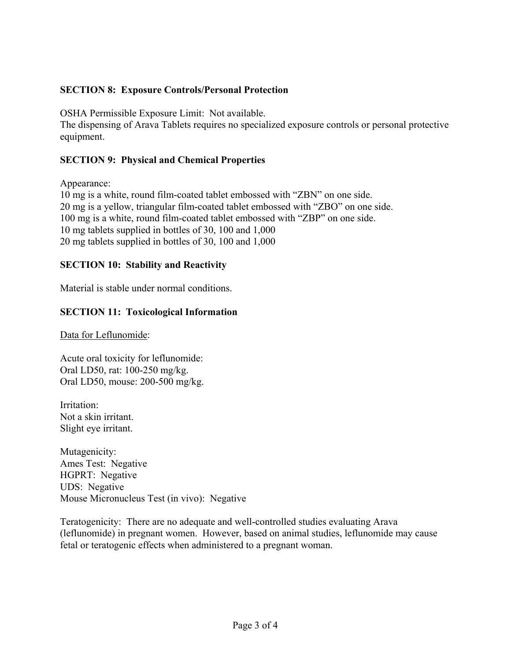### **SECTION 8: Exposure Controls/Personal Protection**

OSHA Permissible Exposure Limit: Not available.

The dispensing of Arava Tablets requires no specialized exposure controls or personal protective equipment.

### **SECTION 9: Physical and Chemical Properties**

Appearance:

10 mg is a white, round film-coated tablet embossed with "ZBN" on one side. 20 mg is a yellow, triangular film-coated tablet embossed with "ZBO" on one side. 100 mg is a white, round film-coated tablet embossed with "ZBP" on one side. 10 mg tablets supplied in bottles of 30, 100 and 1,000 20 mg tablets supplied in bottles of 30, 100 and 1,000

### **SECTION 10: Stability and Reactivity**

Material is stable under normal conditions.

#### **SECTION 11: Toxicological Information**

Data for Leflunomide:

Acute oral toxicity for leflunomide: Oral LD50, rat: 100-250 mg/kg. Oral LD50, mouse: 200-500 mg/kg.

Irritation: Not a skin irritant. Slight eye irritant.

Mutagenicity: Ames Test: Negative HGPRT: Negative UDS: Negative Mouse Micronucleus Test (in vivo): Negative

Teratogenicity: There are no adequate and well-controlled studies evaluating Arava (leflunomide) in pregnant women. However, based on animal studies, leflunomide may cause fetal or teratogenic effects when administered to a pregnant woman.